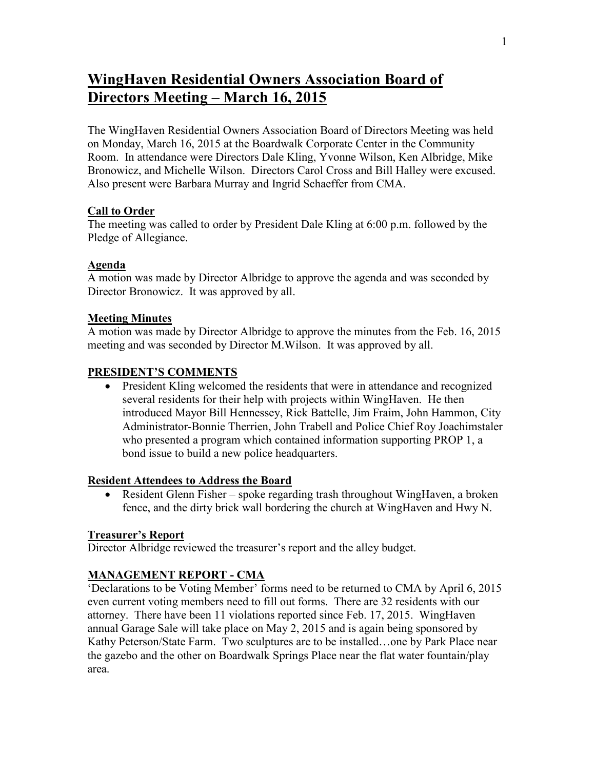# **WingHaven Residential Owners Association Board of Directors Meeting – March 16, 2015**

The WingHaven Residential Owners Association Board of Directors Meeting was held on Monday, March 16, 2015 at the Boardwalk Corporate Center in the Community Room. In attendance were Directors Dale Kling, Yvonne Wilson, Ken Albridge, Mike Bronowicz, and Michelle Wilson. Directors Carol Cross and Bill Halley were excused. Also present were Barbara Murray and Ingrid Schaeffer from CMA.

## **Call to Order**

The meeting was called to order by President Dale Kling at 6:00 p.m. followed by the Pledge of Allegiance.

## **Agenda**

A motion was made by Director Albridge to approve the agenda and was seconded by Director Bronowicz. It was approved by all.

## **Meeting Minutes**

A motion was made by Director Albridge to approve the minutes from the Feb. 16, 2015 meeting and was seconded by Director M.Wilson. It was approved by all.

## **PRESIDENT'S COMMENTS**

 President Kling welcomed the residents that were in attendance and recognized several residents for their help with projects within WingHaven. He then introduced Mayor Bill Hennessey, Rick Battelle, Jim Fraim, John Hammon, City Administrator-Bonnie Therrien, John Trabell and Police Chief Roy Joachimstaler who presented a program which contained information supporting PROP 1, a bond issue to build a new police headquarters.

## **Resident Attendees to Address the Board**

 Resident Glenn Fisher – spoke regarding trash throughout WingHaven, a broken fence, and the dirty brick wall bordering the church at WingHaven and Hwy N.

## **Treasurer's Report**

Director Albridge reviewed the treasurer's report and the alley budget.

## **MANAGEMENT REPORT - CMA**

'Declarations to be Voting Member' forms need to be returned to CMA by April 6, 2015 even current voting members need to fill out forms. There are 32 residents with our attorney. There have been 11 violations reported since Feb. 17, 2015. WingHaven annual Garage Sale will take place on May 2, 2015 and is again being sponsored by Kathy Peterson/State Farm. Two sculptures are to be installed…one by Park Place near the gazebo and the other on Boardwalk Springs Place near the flat water fountain/play area.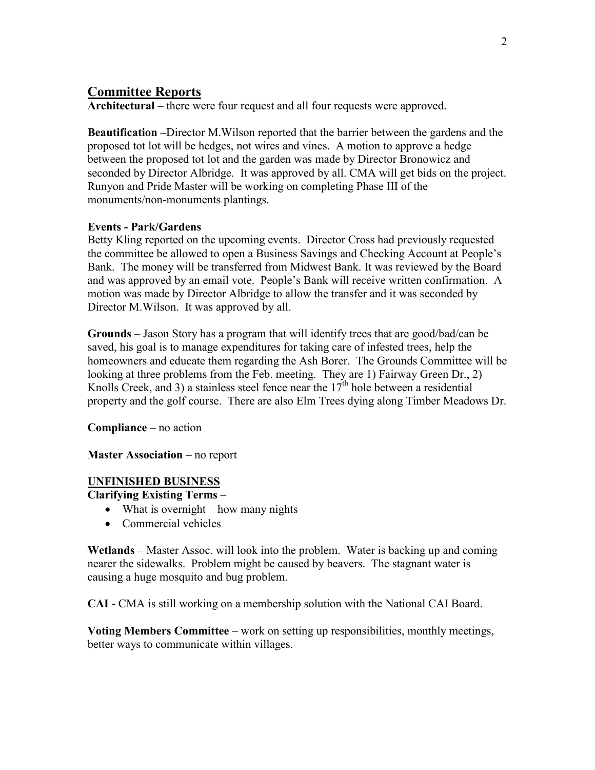## **Committee Reports**

**Architectural** – there were four request and all four requests were approved.

**Beautification –**Director M.Wilson reported that the barrier between the gardens and the proposed tot lot will be hedges, not wires and vines. A motion to approve a hedge between the proposed tot lot and the garden was made by Director Bronowicz and seconded by Director Albridge. It was approved by all. CMA will get bids on the project. Runyon and Pride Master will be working on completing Phase III of the monuments/non-monuments plantings.

## **Events - Park/Gardens**

Betty Kling reported on the upcoming events. Director Cross had previously requested the committee be allowed to open a Business Savings and Checking Account at People's Bank. The money will be transferred from Midwest Bank. It was reviewed by the Board and was approved by an email vote. People's Bank will receive written confirmation. A motion was made by Director Albridge to allow the transfer and it was seconded by Director M.Wilson. It was approved by all.

**Grounds** – Jason Story has a program that will identify trees that are good/bad/can be saved, his goal is to manage expenditures for taking care of infested trees, help the homeowners and educate them regarding the Ash Borer. The Grounds Committee will be looking at three problems from the Feb. meeting. They are 1) Fairway Green Dr., 2) Knolls Creek, and 3) a stainless steel fence near the  $17<sup>th</sup>$  hole between a residential property and the golf course. There are also Elm Trees dying along Timber Meadows Dr.

**Compliance** – no action

**Master Association** – no report

## **UNFINISHED BUSINESS**

**Clarifying Existing Terms** –

- $\bullet$  What is overnight how many nights
- Commercial vehicles

**Wetlands** – Master Assoc. will look into the problem. Water is backing up and coming nearer the sidewalks. Problem might be caused by beavers. The stagnant water is causing a huge mosquito and bug problem.

**CAI** - CMA is still working on a membership solution with the National CAI Board.

**Voting Members Committee** – work on setting up responsibilities, monthly meetings, better ways to communicate within villages.